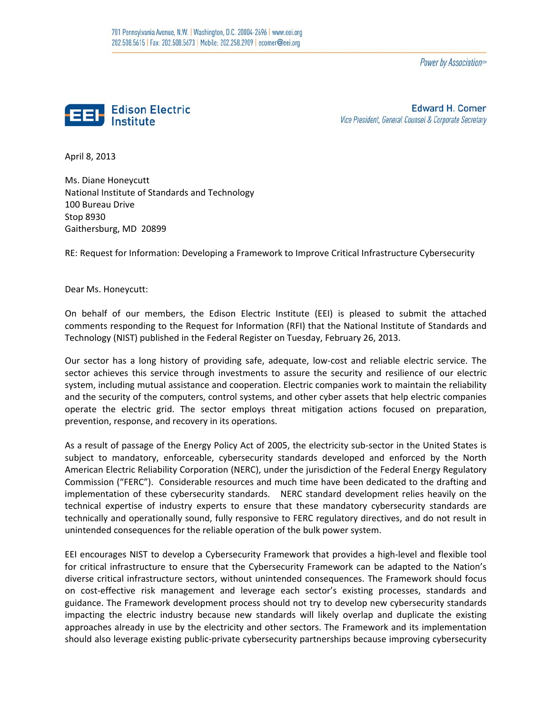Power by Association<sup>sw</sup>



**Edward H. Comer** Vice President, General Counsel & Corporate Secretary

April 8, 2013

 Ms. Diane Honeycutt National Institute of Standards and Technology 100 Bureau Drive Stop 8930 Gaithersburg, MD 20899

RE: Request for Information: Developing a Framework to Improve Critical Infrastructure Cybersecurity

Dear Ms. Honeycutt:

 On behalf of our members, the Edison Electric Institute (EEI) is pleased to submit the attached comments responding to the Request for Information (RFI) that the National Institute of Standards and Technology (NIST) published in the Federal Register on Tuesday, February 26, 2013.

 Our sector has a long history of providing safe, adequate, low‐cost and reliable electric service. The sector achieves this service through investments to assure the security and resilience of our electric system, including mutual assistance and cooperation. Electric companies work to maintain the reliability and the security of the computers, control systems, and other cyber assets that help electric companies operate the electric grid. The sector employs threat mitigation actions focused on preparation, prevention, response, and recovery in its operations.

 As a result of passage of the Energy Policy Act of 2005, the electricity sub‐sector in the United States is subject to mandatory, enforceable, cybersecurity standards developed and enforced by the North American Electric Reliability Corporation (NERC), under the jurisdiction of the Federal Energy Regulatory Commission ("FERC"). Considerable resources and much time have been dedicated to the drafting and implementation of these cybersecurity standards. NERC standard development relies heavily on the technical expertise of industry experts to ensure that these mandatory cybersecurity standards are technically and operationally sound, fully responsive to FERC regulatory directives, and do not result in unintended consequences for the reliable operation of the bulk power system.

 EEI encourages NIST to develop a Cybersecurity Framework that provides a high‐level and flexible tool for critical infrastructure to ensure that the Cybersecurity Framework can be adapted to the Nation's diverse critical infrastructure sectors, without unintended consequences. The Framework should focus on cost‐effective risk management and leverage each sector's existing processes, standards and guidance. The Framework development process should not try to develop new cybersecurity standards impacting the electric industry because new standards will likely overlap and duplicate the existing approaches already in use by the electricity and other sectors. The Framework and its implementation should also leverage existing public‐private cybersecurity partnerships because improving cybersecurity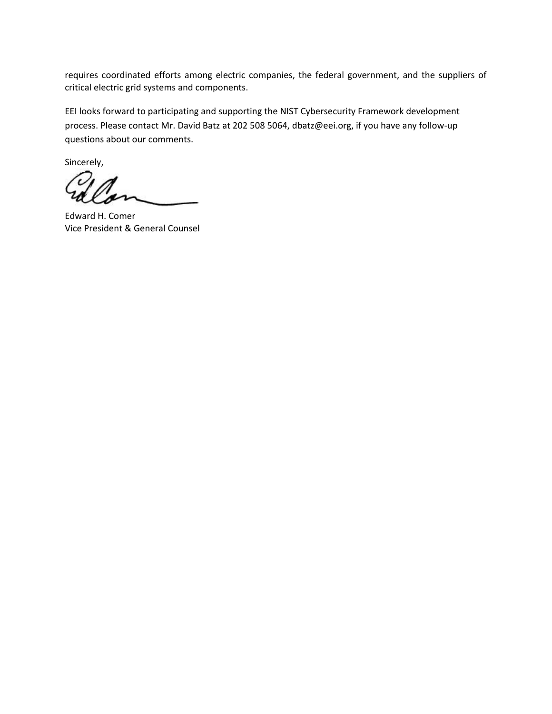requires coordinated efforts among electric companies, the federal government, and the suppliers of critical electric grid systems and components.

 EEI looks forward to participating and supporting the NIST Cybersecurity Framework development process. Please contact Mr. David Batz at 202 508 5064, dbatz@eei.org, if you have any follow‐up questions about our comments.

Sincerely,

 Edward H. Comer Vice President & General Counsel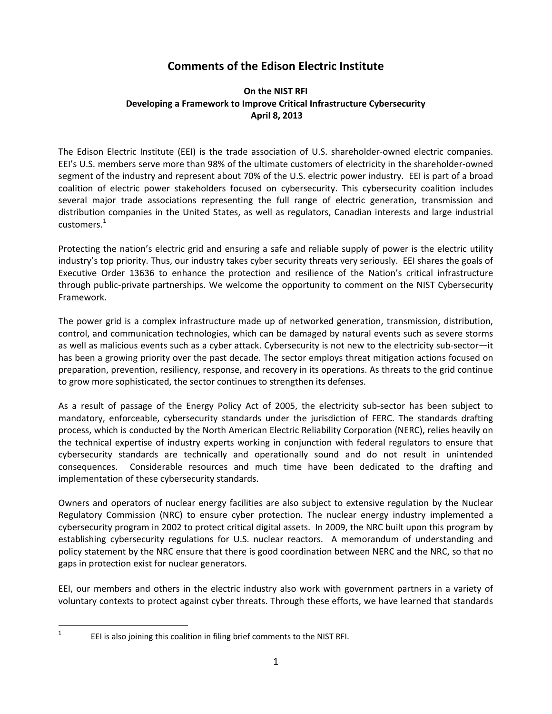# **Comments of the Edison Electric Institute**

# **On the NIST RFI Developing a Framework to Improve Critical Infrastructure Cybersecurity April 8, 2013**

 The Edison Electric Institute (EEI) is the trade association of U.S. shareholder‐owned electric companies. EEI's U.S. members serve more than 98% of the ultimate customers of electricity in the shareholder‐owned segment of the industry and represent about 70% of the U.S. electric power industry. EEI is part of a broad coalition of electric power stakeholders focused on cybersecurity. This cybersecurity coalition includes several major trade associations representing the full range of electric generation, transmission and distribution companies in the United States, as well as regulators, Canadian interests and large industrial customers. $^1$ 

 Protecting the nation's electric grid and ensuring a safe and reliable supply of power is the electric utility industry's top priority. Thus, our industry takes cyber security threats very seriously. EEI shares the goals of Executive Order 13636 to enhance the protection and resilience of the Nation's critical infrastructure through public‐private partnerships. We welcome the opportunity to comment on the NIST Cybersecurity Framework.

 The power grid is a complex infrastructure made up of networked generation, transmission, distribution, control, and communication technologies, which can be damaged by natural events such as severe storms as well as malicious events such as a cyber attack. Cybersecurity is not new to the electricity sub‐sector—it has been a growing priority over the past decade. The sector employs threat mitigation actions focused on preparation, prevention, resiliency, response, and recovery in its operations. As threats to the grid continue to grow more sophisticated, the sector continues to strengthen its defenses.

 As a result of passage of the Energy Policy Act of 2005, the electricity sub‐sector has been subject to mandatory, enforceable, cybersecurity standards under the jurisdiction of FERC. The standards drafting process, which is conducted by the North American Electric Reliability Corporation (NERC), relies heavily on the technical expertise of industry experts working in conjunction with federal regulators to ensure that cybersecurity standards are technically and operationally sound and do not result in unintended consequences. Considerable resources and much time have been dedicated to the drafting and implementation of these cybersecurity standards.

 Owners and operators of nuclear energy facilities are also subject to extensive regulation by the Nuclear Regulatory Commission (NRC) to ensure cyber protection. The nuclear energy industry implemented a cybersecurity program in 2002 to protect critical digital assets. In 2009, the NRC built upon this program by establishing cybersecurity regulations for U.S. nuclear reactors. A memorandum of understanding and policy statement by the NRC ensure that there is good coordination between NERC and the NRC, so that no gaps in protection exist for nuclear generators.

 EEI, our members and others in the electric industry also work with government partners in a variety of voluntary contexts to protect against cyber threats. Through these efforts, we have learned that standards

 1

 EEI is also joining this coalition in filing brief comments to the NIST RFI.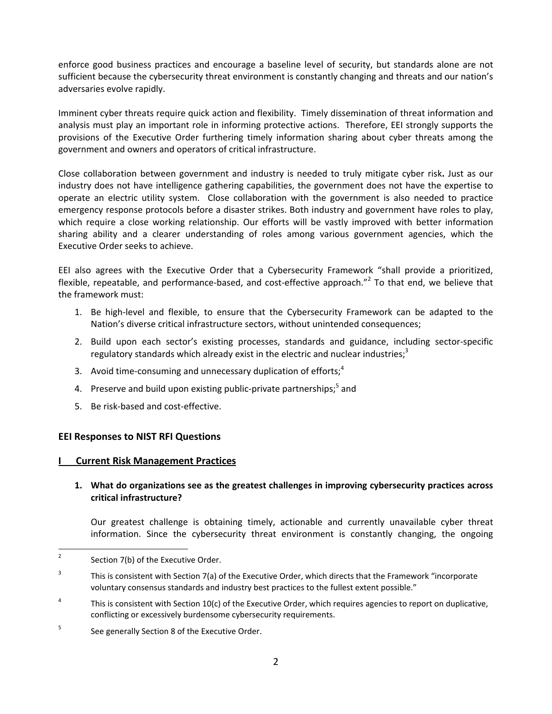enforce good business practices and encourage a baseline level of security, but standards alone are not sufficient because the cybersecurity threat environment is constantly changing and threats and our nation's  adversaries evolve rapidly.

Imminent cyber threats require quick action and flexibility. Timely dissemination of threat information and analysis must play an important role in informing protective actions. Therefore, EEI strongly supports the provisions of the Executive Order furthering timely information sharing about cyber threats among the government and owners and operators of critical infrastructure.

 Close collaboration between government and industry is needed to truly mitigate cyber risk**.** Just as our industry does not have intelligence gathering capabilities, the government does not have the expertise to operate an electric utility system. Close collaboration with the government is also needed to practice emergency response protocols before a disaster strikes. Both industry and government have roles to play, which require a close working relationship. Our efforts will be vastly improved with better information sharing ability and a clearer understanding of roles among various government agencies, which the Executive Order seeks to achieve.

 EEI also agrees with the Executive Order that a Cybersecurity Framework "shall provide a prioritized, flexible, repeatable, and performance-based, and cost-effective approach."<sup>2</sup> To that end, we believe that the framework must:

- 1. Be high-level and flexible, to ensure that the Cybersecurity Framework can be adapted to the Nation's diverse critical infrastructure sectors, without unintended consequences;
- 2. Build upon each sector's existing processes, standards and guidance, including sector-specific regulatory standards which already exist in the electric and nuclear industries;<sup>3</sup>
- 3. Avoid time-consuming and unnecessary duplication of efforts; $4$
- 4. Preserve and build upon existing public-private partnerships;<sup>5</sup> and
- 5. Be risk-based and cost-effective.

# **EEI Responses to NIST RFI Questions**

## **I Current Risk Management Practices**

# 1. What do organizations see as the greatest challenges in improving cybersecurity practices across  **critical infrastructure?**

 Our greatest challenge is obtaining timely, actionable and currently unavailable cyber threat information. Since the cybersecurity threat environment is constantly changing, the ongoing

  $2^2$  Section 7(b) of the Executive Order.

<sup>&</sup>lt;sup>3</sup> This is consistent with Section 7(a) of the Executive Order, which directs that the Framework "incorporate voluntary consensus standards and industry best practices to the fullest extent possible."

<sup>&</sup>lt;sup>4</sup> This is consistent with Section 10(c) of the Executive Order, which requires agencies to report on duplicative, conflicting or excessively burdensome cybersecurity requirements.

 $5$  See generally Section 8 of the Executive Order.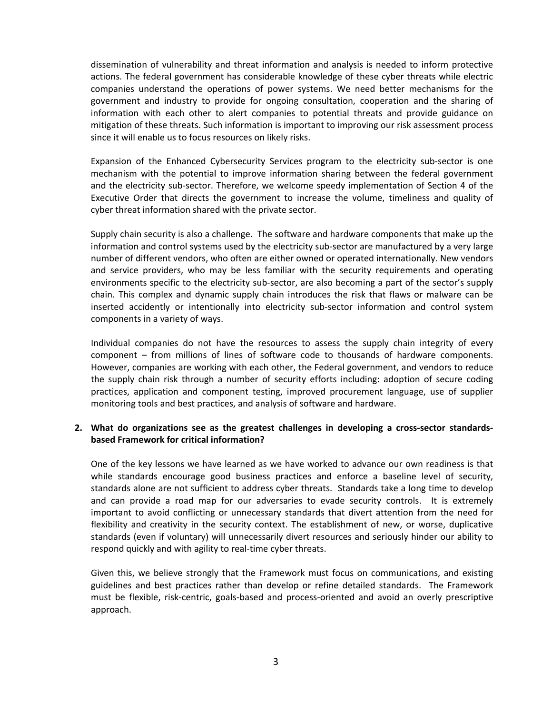dissemination of vulnerability and threat information and analysis is needed to inform protective actions. The federal government has considerable knowledge of these cyber threats while electric companies understand the operations of power systems. We need better mechanisms for the government and industry to provide for ongoing consultation, cooperation and the sharing of information with each other to alert companies to potential threats and provide guidance on mitigation of these threats. Such information is important to improving our risk assessment process since it will enable us to focus resources on likely risks.

 Expansion of the Enhanced Cybersecurity Services program to the electricity sub‐sector is one mechanism with the potential to improve information sharing between the federal government and the electricity sub‐sector. Therefore, we welcome speedy implementation of Section 4 of the Executive Order that directs the government to increase the volume, timeliness and quality of cyber threat information shared with the private sector.

Supply chain security is also a challenge. The software and hardware components that make up the information and control systems used by the electricity sub‐sector are manufactured by a very large number of different vendors, who often are either owned or operated internationally. New vendors and service providers, who may be less familiar with the security requirements and operating environments specific to the electricity sub‐sector, are also becoming a part of the sector's supply chain. This complex and dynamic supply chain introduces the risk that flaws or malware can be inserted accidently or intentionally into electricity sub‐sector information and control system components in a variety of ways.

 Individual companies do not have the resources to assess the supply chain integrity of every component – from millions of lines of software code to thousands of hardware components. However, companies are working with each other, the Federal government, and vendors to reduce the supply chain risk through a number of security efforts including: adoption of secure coding practices, application and component testing, improved procurement language, use of supplier monitoring tools and best practices, and analysis of software and hardware.

## 2. What do organizations see as the greatest challenges in developing a cross-sector standards- **based Framework for critical information?**

 One of the key lessons we have learned as we have worked to advance our own readiness is that while standards encourage good business practices and enforce a baseline level of security, standards alone are not sufficient to address cyber threats. Standards take a long time to develop and can provide a road map for our adversaries to evade security controls. It is extremely important to avoid conflicting or unnecessary standards that divert attention from the need for flexibility and creativity in the security context. The establishment of new, or worse, duplicative standards (even if voluntary) will unnecessarily divert resources and seriously hinder our ability to respond quickly and with agility to real‐time cyber threats.

 Given this, we believe strongly that the Framework must focus on communications, and existing guidelines and best practices rather than develop or refine detailed standards. The Framework must be flexible, risk‐centric, goals‐based and process‐oriented and avoid an overly prescriptive approach.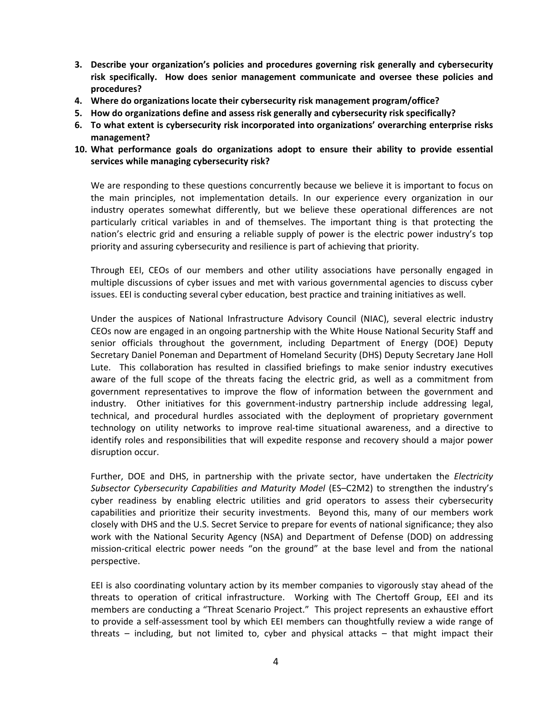- **3. Describe your organization's policies and procedures governing risk generally and cybersecurity risk specifically. How does senior management communicate and oversee these policies and procedures?**
- **4. Where do organizations locate their cybersecurity risk management program/office?**
- 5. How do organizations define and assess risk generally and cybersecurity risk specifically?
- 6. To what extent is cybersecurity risk incorporated into organizations' overarching enterprise risks  **management?**
- 10. What performance goals do organizations adopt to ensure their ability to provide essential  **services while managing cybersecurity risk?**

 We are responding to these questions concurrently because we believe it is important to focus on the main principles, not implementation details. In our experience every organization in our industry operates somewhat differently, but we believe these operational differences are not particularly critical variables in and of themselves. The important thing is that protecting the nation's electric grid and ensuring a reliable supply of power is the electric power industry's top priority and assuring cybersecurity and resilience is part of achieving that priority.

 Through EEI, CEOs of our members and other utility associations have personally engaged in multiple discussions of cyber issues and met with various governmental agencies to discuss cyber issues. EEI is conducting several cyber education, best practice and training initiatives as well.

 Under the auspices of National Infrastructure Advisory Council (NIAC), several electric industry CEOs now are engaged in an ongoing partnership with the White House National Security Staff and senior officials throughout the government, including Department of Energy (DOE) Deputy Secretary Daniel Poneman and Department of Homeland Security (DHS) Deputy Secretary Jane Holl Lute. This collaboration has resulted in classified briefings to make senior industry executives aware of the full scope of the threats facing the electric grid, as well as a commitment from government representatives to improve the flow of information between the government and industry. Other initiatives for this government‐industry partnership include addressing legal, technical, and procedural hurdles associated with the deployment of proprietary government technology on utility networks to improve real‐time situational awareness, and a directive to identify roles and responsibilities that will expedite response and recovery should a major power disruption occur.

 Further, DOE and DHS, in partnership with the private sector, have undertaken the *Electricity Subsector Cybersecurity Capabilities and Maturity Model* (ES–C2M2) to strengthen the industry's cyber readiness by enabling electric utilities and grid operators to assess their cybersecurity capabilities and prioritize their security investments. Beyond this, many of our members work closely with DHS and the U.S. Secret Service to prepare for events of national significance; they also work with the National Security Agency (NSA) and Department of Defense (DOD) on addressing mission‐critical electric power needs "on the ground" at the base level and from the national perspective.

 EEI is also coordinating voluntary action by its member companies to vigorously stay ahead of the threats to operation of critical infrastructure. Working with The Chertoff Group, EEI and its members are conducting a "Threat Scenario Project." This project represents an exhaustive effort to provide a self‐assessment tool by which EEI members can thoughtfully review a wide range of threats – including, but not limited to, cyber and physical attacks – that might impact their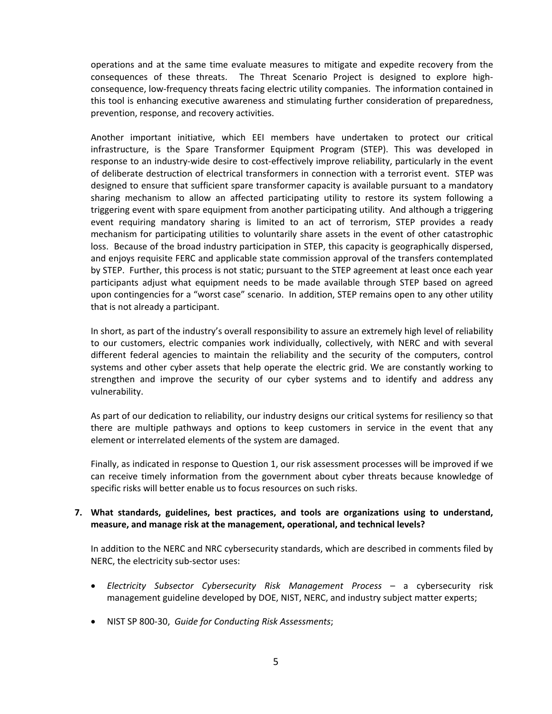operations and at the same time evaluate measures to mitigate and expedite recovery from the consequences of these threats. The Threat Scenario Project is designed to explore high‐ consequence, low‐frequency threats facing electric utility companies. The information contained in this tool is enhancing executive awareness and stimulating further consideration of preparedness, prevention, response, and recovery activities.

 Another important initiative, which EEI members have undertaken to protect our critical infrastructure, is the Spare Transformer Equipment Program (STEP). This was developed in response to an industry-wide desire to cost-effectively improve reliability, particularly in the event of deliberate destruction of electrical transformers in connection with a terrorist event. STEP was designed to ensure that sufficient spare transformer capacity is available pursuant to a mandatory sharing mechanism to allow an affected participating utility to restore its system following a triggering event with spare equipment from another participating utility. And although a triggering event requiring mandatory sharing is limited to an act of terrorism, STEP provides a ready mechanism for participating utilities to voluntarily share assets in the event of other catastrophic loss. Because of the broad industry participation in STEP, this capacity is geographically dispersed, and enjoys requisite FERC and applicable state commission approval of the transfers contemplated by STEP. Further, this process is not static; pursuant to the STEP agreement at least once each year participants adjust what equipment needs to be made available through STEP based on agreed upon contingencies for a "worst case" scenario. In addition, STEP remains open to any other utility that is not already a participant.

 In short, as part of the industry's overall responsibility to assure an extremely high level of reliability to our customers, electric companies work individually, collectively, with NERC and with several different federal agencies to maintain the reliability and the security of the computers, control systems and other cyber assets that help operate the electric grid. We are constantly working to strengthen and improve the security of our cyber systems and to identify and address any vulnerability.

 As part of our dedication to reliability, our industry designs our critical systems for resiliency so that there are multiple pathways and options to keep customers in service in the event that any element or interrelated elements of the system are damaged.

 Finally, as indicated in response to Question 1, our risk assessment processes will be improved if we can receive timely information from the government about cyber threats because knowledge of specific risks will better enable us to focus resources on such risks.

# **7. What standards, guidelines, best practices, and tools are organizations using to understand, measure, and manage risk at the management, operational, and technical levels?**

 In addition to the NERC and NRC cybersecurity standards, which are described in comments filed by NERC, the electricity sub‐sector uses:

- *Electricity Subsector Cybersecurity Risk Management Process* a cybersecurity risk management guideline developed by DOE, NIST, NERC, and industry subject matter experts;
- NIST SP 800‐30, *Guide for Conducting Risk Assessments*;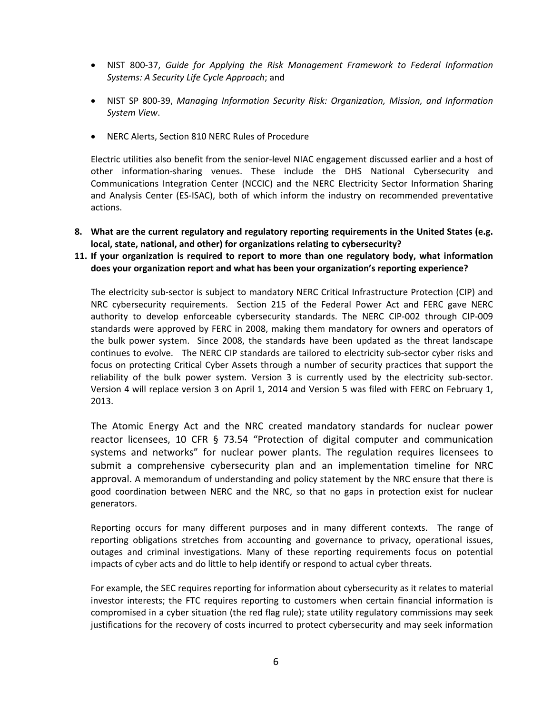- NIST 800‐37, *Guide for Applying the Risk Management Framework to Federal Information Systems: A Security Life Cycle Approach*; and
- NIST SP 800‐39, *Managing Information Security Risk: Organization, Mission, and Information System View*.
- NERC Alerts, Section 810 NERC Rules of Procedure

 Electric utilities also benefit from the senior‐level NIAC engagement discussed earlier and a host of other information‐sharing venues. These include the DHS National Cybersecurity and Communications Integration Center (NCCIC) and the NERC Electricity Sector Information Sharing and Analysis Center (ES‐ISAC), both of which inform the industry on recommended preventative actions.

- 8. What are the current regulatory and regulatory reporting requirements in the United States (e.g.  **local, state, national, and other) for organizations relating to cybersecurity?**
- 11. If your organization is required to report to more than one regulatory body, what information  **does your organization report and what has been your organization's reporting experience?**

 The electricity sub‐sector is subject to mandatory NERC Critical Infrastructure Protection (CIP) and NRC cybersecurity requirements. Section 215 of the Federal Power Act and FERC gave NERC authority to develop enforceable cybersecurity standards. The NERC CIP‐002 through CIP‐009 standards were approved by FERC in 2008, making them mandatory for owners and operators of the bulk power system. Since 2008, the standards have been updated as the threat landscape continues to evolve. The NERC CIP standards are tailored to electricity sub‐sector cyber risks and focus on protecting Critical Cyber Assets through a number of security practices that support the reliability of the bulk power system. Version 3 is currently used by the electricity sub‐sector. Version 4 will replace version 3 on April 1, 2014 and Version 5 was filed with FERC on February 1, 2013.

 The Atomic Energy Act and the NRC created mandatory standards for nuclear power reactor licensees, 10 CFR § 73.54 "Protection of digital computer and communication systems and networks" for nuclear power plants. The regulation requires licensees to submit a comprehensive cybersecurity plan and an implementation timeline for NRC approval. A memorandum of understanding and policy statement by the NRC ensure that there is good coordination between NERC and the NRC, so that no gaps in protection exist for nuclear generators.

 Reporting occurs for many different purposes and in many different contexts. The range of reporting obligations stretches from accounting and governance to privacy, operational issues, outages and criminal investigations. Many of these reporting requirements focus on potential impacts of cyber acts and do little to help identify or respond to actual cyber threats.

 For example, the SEC requires reporting for information about cybersecurity as it relates to material investor interests; the FTC requires reporting to customers when certain financial information is compromised in a cyber situation (the red flag rule); state utility regulatory commissions may seek justifications for the recovery of costs incurred to protect cybersecurity and may seek information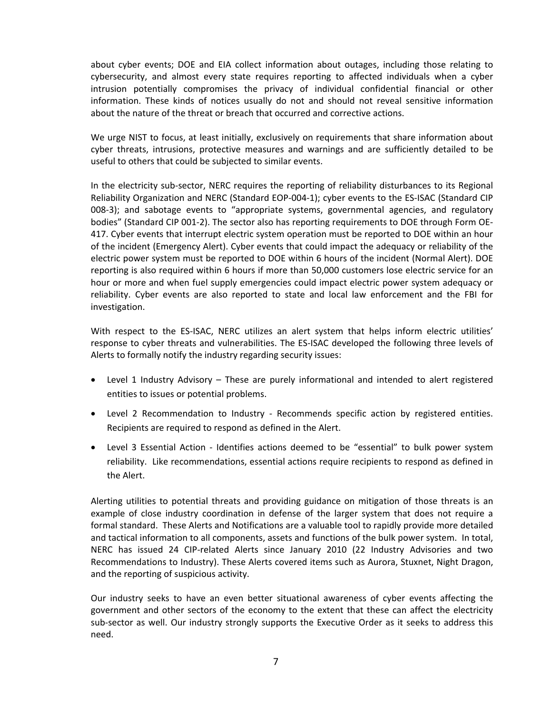about cyber events; DOE and EIA collect information about outages, including those relating to cybersecurity, and almost every state requires reporting to affected individuals when a cyber intrusion potentially compromises the privacy of individual confidential financial or other information. These kinds of notices usually do not and should not reveal sensitive information about the nature of the threat or breach that occurred and corrective actions.

 We urge NIST to focus, at least initially, exclusively on requirements that share information about cyber threats, intrusions, protective measures and warnings and are sufficiently detailed to be useful to others that could be subjected to similar events.

 In the electricity sub‐sector, NERC requires the reporting of reliability disturbances to its Regional Reliability Organization and NERC (Standard EOP‐004‐1); cyber events to the ES‐ISAC (Standard CIP 008‐3); and sabotage events to "appropriate systems, governmental agencies, and regulatory bodies" (Standard CIP 001‐2). The sector also has reporting requirements to DOE through Form OE‐ 417. Cyber events that interrupt electric system operation must be reported to DOE within an hour of the incident (Emergency Alert). Cyber events that could impact the adequacy or reliability of the electric power system must be reported to DOE within 6 hours of the incident (Normal Alert). DOE reporting is also required within 6 hours if more than 50,000 customers lose electric service for an hour or more and when fuel supply emergencies could impact electric power system adequacy or reliability. Cyber events are also reported to state and local law enforcement and the FBI for investigation.

 With respect to the ES‐ISAC, NERC utilizes an alert system that helps inform electric utilities' response to cyber threats and vulnerabilities. The ES‐ISAC developed the following three levels of Alerts to formally notify the industry regarding security issues:

- Level 1 Industry Advisory These are purely informational and intended to alert registered entities to issues or potential problems.
- Level 2 Recommendation to Industry Recommends specific action by registered entities. Recipients are required to respond as defined in the Alert.
- Level 3 Essential Action Identifies actions deemed to be "essential" to bulk power system reliability. Like recommendations, essential actions require recipients to respond as defined in the Alert.

 Alerting utilities to potential threats and providing guidance on mitigation of those threats is an example of close industry coordination in defense of the larger system that does not require a formal standard. These Alerts and Notifications are a valuable tool to rapidly provide more detailed and tactical information to all components, assets and functions of the bulk power system. In total, NERC has issued 24 CIP‐related Alerts since January 2010 (22 Industry Advisories and two Recommendations to Industry). These Alerts covered items such as Aurora, Stuxnet, Night Dragon, and the reporting of suspicious activity.

 Our industry seeks to have an even better situational awareness of cyber events affecting the government and other sectors of the economy to the extent that these can affect the electricity sub‐sector as well. Our industry strongly supports the Executive Order as it seeks to address this need.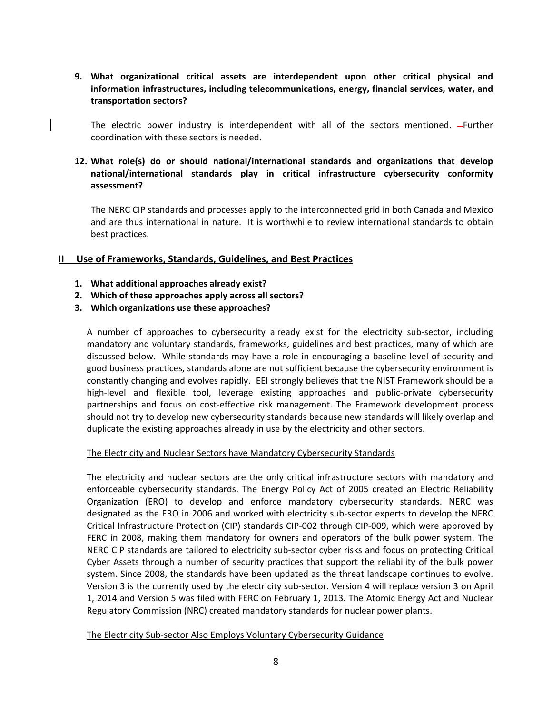**9. What organizational critical assets are interdependent upon other critical physical and information infrastructures, including telecommunications, energy, financial services, water, and transportation sectors?**

The electric power industry is interdependent with all of the sectors mentioned. --Further coordination with these sectors is needed.

## **12. What role(s) do or should national/international standards and organizations that develop national/international standards play in critical infrastructure cybersecurity conformity assessment?**

 The NERC CIP standards and processes apply to the interconnected grid in both Canada and Mexico and are thus international in nature. It is worthwhile to review international standards to obtain best practices.

# **II Use of Frameworks, Standards, Guidelines, and Best Practices**

- **1. What additional approaches already exist?**
- **2. Which of these approaches apply across all sectors?**
- **3. Which organizations use these approaches?**

 A number of approaches to cybersecurity already exist for the electricity sub‐sector, including mandatory and voluntary standards, frameworks, guidelines and best practices, many of which are discussed below. While standards may have a role in encouraging a baseline level of security and good business practices, standards alone are not sufficient because the cybersecurity environment is constantly changing and evolves rapidly. EEI strongly believes that the NIST Framework should be a high‐level and flexible tool, leverage existing approaches and public‐private cybersecurity partnerships and focus on cost-effective risk management. The Framework development process should not try to develop new cybersecurity standards because new standards will likely overlap and duplicate the existing approaches already in use by the electricity and other sectors.

#### The Electricity and Nuclear Sectors have Mandatory Cybersecurity Standards

 The electricity and nuclear sectors are the only critical infrastructure sectors with mandatory and enforceable cybersecurity standards. The Energy Policy Act of 2005 created an Electric Reliability Organization (ERO) to develop and enforce mandatory cybersecurity standards. NERC was designated as the ERO in 2006 and worked with electricity sub‐sector experts to develop the NERC Critical Infrastructure Protection (CIP) standards CIP‐002 through CIP‐009, which were approved by FERC in 2008, making them mandatory for owners and operators of the bulk power system. The NERC CIP standards are tailored to electricity sub‐sector cyber risks and focus on protecting Critical Cyber Assets through a number of security practices that support the reliability of the bulk power system. Since 2008, the standards have been updated as the threat landscape continues to evolve. Version 3 is the currently used by the electricity sub‐sector. Version 4 will replace version 3 on April 1, 2014 and Version 5 was filed with FERC on February 1, 2013. The Atomic Energy Act and Nuclear Regulatory Commission (NRC) created mandatory standards for nuclear power plants.

## The Electricity Sub‐sector Also Employs Voluntary Cybersecurity Guidance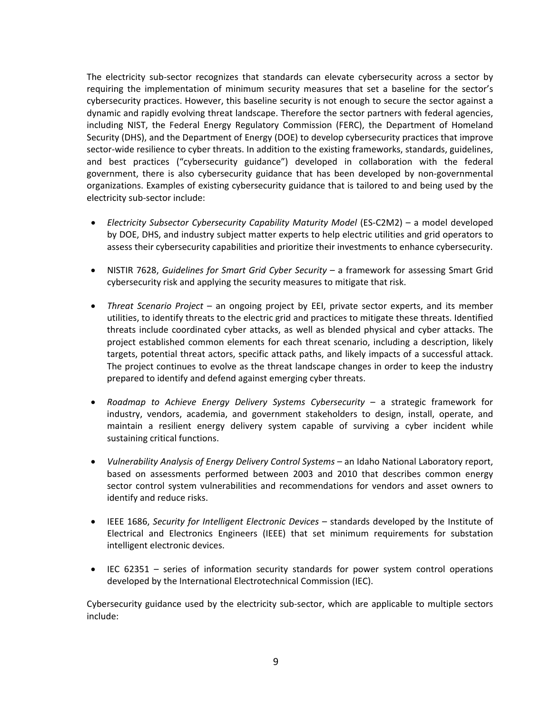The electricity sub‐sector recognizes that standards can elevate cybersecurity across a sector by requiring the implementation of minimum security measures that set a baseline for the sector's cybersecurity practices. However, this baseline security is not enough to secure the sector against a dynamic and rapidly evolving threat landscape. Therefore the sector partners with federal agencies, including NIST, the Federal Energy Regulatory Commission (FERC), the Department of Homeland Security (DHS), and the Department of Energy (DOE) to develop cybersecurity practices that improve sector‐wide resilience to cyber threats. In addition to the existing frameworks, standards, guidelines, and best practices ("cybersecurity guidance") developed in collaboration with the federal government, there is also cybersecurity guidance that has been developed by non‐governmental organizations. Examples of existing cybersecurity guidance that is tailored to and being used by the electricity sub‐sector include:

- *Electricity Subsector Cybersecurity Capability Maturity Model* (ES‐C2M2) a model developed by DOE, DHS, and industry subject matter experts to help electric utilities and grid operators to assess their cybersecurity capabilities and prioritize their investments to enhance cybersecurity.
- NISTIR 7628, *Guidelines for Smart Grid Cyber Security* a framework for assessing Smart Grid cybersecurity risk and applying the security measures to mitigate that risk.
- *Threat Scenario Project* an ongoing project by EEI, private sector experts, and its member utilities, to identify threats to the electric grid and practices to mitigate these threats. Identified threats include coordinated cyber attacks, as well as blended physical and cyber attacks. The project established common elements for each threat scenario, including a description, likely targets, potential threat actors, specific attack paths, and likely impacts of a successful attack. The project continues to evolve as the threat landscape changes in order to keep the industry prepared to identify and defend against emerging cyber threats.
- *Roadmap to Achieve Energy Delivery Systems Cybersecurity* a strategic framework for industry, vendors, academia, and government stakeholders to design, install, operate, and maintain a resilient energy delivery system capable of surviving a cyber incident while sustaining critical functions.
- *Vulnerability Analysis of Energy Delivery Control Systems* an Idaho National Laboratory report, based on assessments performed between 2003 and 2010 that describes common energy sector control system vulnerabilities and recommendations for vendors and asset owners to identify and reduce risks.
- IEEE 1686, *Security for Intelligent Electronic Devices* standards developed by the Institute of Electrical and Electronics Engineers (IEEE) that set minimum requirements for substation intelligent electronic devices.
- IEC 62351 series of information security standards for power system control operations developed by the International Electrotechnical Commission (IEC).

 Cybersecurity guidance used by the electricity sub‐sector, which are applicable to multiple sectors include: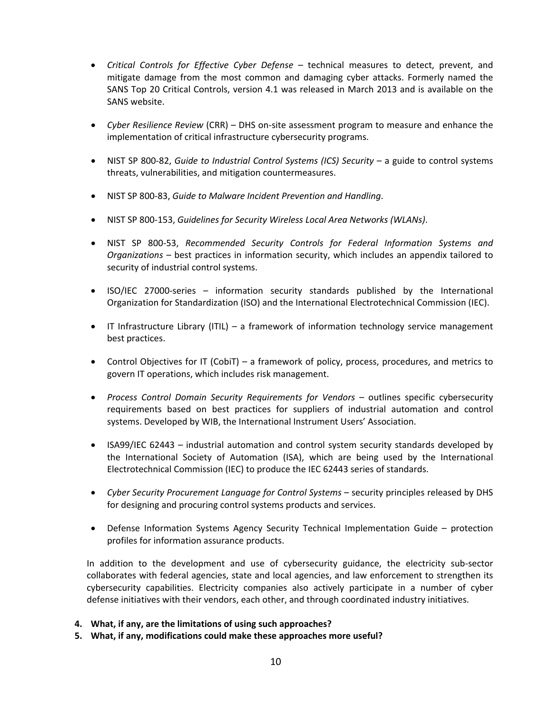- *Critical Controls for Effective Cyber Defense* technical measures to detect, prevent, and mitigate damage from the most common and damaging cyber attacks. Formerly named the SANS Top 20 Critical Controls, version 4.1 was released in March 2013 and is available on the SANS website.
- *Cyber Resilience Review* (CRR) DHS on‐site assessment program to measure and enhance the implementation of critical infrastructure cybersecurity programs.
- NIST SP 800‐82, *Guide to Industrial Control Systems (ICS) Security* a guide to control systems threats, vulnerabilities, and mitigation countermeasures.
- NIST SP 800‐83, *Guide to Malware Incident Prevention and Handling*.
- NIST SP 800‐153, *Guidelines for Security Wireless Local Area Networks (WLANs)*.
- NIST SP 800‐53, *Recommended Security Controls for Federal Information Systems and Organizations* – best practices in information security, which includes an appendix tailored to security of industrial control systems.
- ISO/IEC 27000‐series information security standards published by the International Organization for Standardization (ISO) and the International Electrotechnical Commission (IEC).
- IT Infrastructure Library (ITIL) a framework of information technology service management best practices.
- Control Objectives for IT (CobiT) a framework of policy, process, procedures, and metrics to govern IT operations, which includes risk management.
- *Process Control Domain Security Requirements for Vendors* outlines specific cybersecurity requirements based on best practices for suppliers of industrial automation and control systems. Developed by WIB, the International Instrument Users' Association.
- ISA99/IEC 62443 industrial automation and control system security standards developed by the International Society of Automation (ISA), which are being used by the International Electrotechnical Commission (IEC) to produce the IEC 62443 series of standards.
- *Cyber Security Procurement Language for Control Systems* security principles released by DHS for designing and procuring control systems products and services.
- Defense Information Systems Agency Security Technical Implementation Guide protection profiles for information assurance products.

 In addition to the development and use of cybersecurity guidance, the electricity sub‐sector collaborates with federal agencies, state and local agencies, and law enforcement to strengthen its cybersecurity capabilities. Electricity companies also actively participate in a number of cyber defense initiatives with their vendors, each other, and through coordinated industry initiatives.

- **4. What, if any, are the limitations of using such approaches?**
- **5. What, if any, modifications could make these approaches more useful?**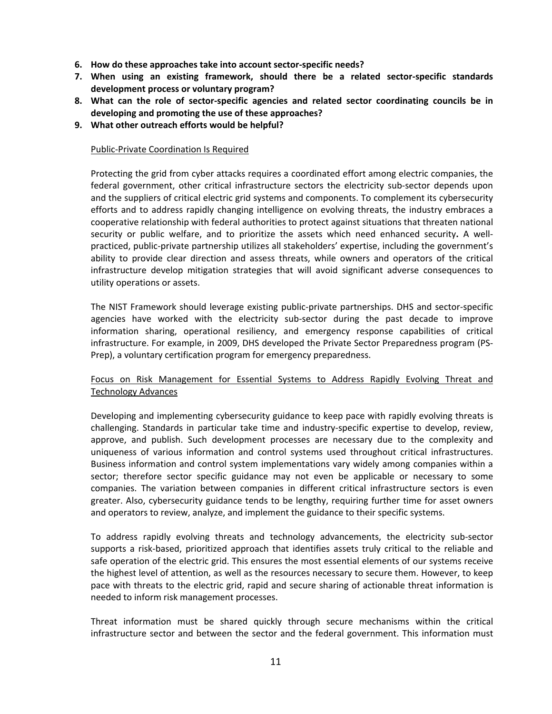- **6. How do these approaches take into account sector‐specific needs?**
- 7. When using an existing framework, should there be a related sector-specific standards  **development process or voluntary program?**
- 8. What can the role of sector-specific agencies and related sector coordinating councils be in  **developing and promoting the use of these approaches?**
- **9. What other outreach efforts would be helpful?**

#### Public‐Private Coordination Is Required

 Protecting the grid from cyber attacks requires a coordinated effort among electric companies, the federal government, other critical infrastructure sectors the electricity sub‐sector depends upon and the suppliers of critical electric grid systems and components. To complement its cybersecurity efforts and to address rapidly changing intelligence on evolving threats, the industry embraces a cooperative relationship with federal authorities to protect against situations that threaten national security or public welfare, and to prioritize the assets which need enhanced security**.** A well‐ practiced, public‐private partnership utilizes all stakeholders' expertise, including the government's ability to provide clear direction and assess threats, while owners and operators of the critical infrastructure develop mitigation strategies that will avoid significant adverse consequences to utility operations or assets.

 The NIST Framework should leverage existing public‐private partnerships. DHS and sector‐specific agencies have worked with the electricity sub-sector during the past decade to improve information sharing, operational resiliency, and emergency response capabilities of critical infrastructure. For example, in 2009, DHS developed the Private Sector Preparedness program (PS‐ Prep), a voluntary certification program for emergency preparedness.

## Focus on Risk Management for Essential Systems to Address Rapidly Evolving Threat and  Technology Advances

 Developing and implementing cybersecurity guidance to keep pace with rapidly evolving threats is challenging. Standards in particular take time and industry‐specific expertise to develop, review, approve, and publish. Such development processes are necessary due to the complexity and uniqueness of various information and control systems used throughout critical infrastructures. Business information and control system implementations vary widely among companies within a sector; therefore sector specific guidance may not even be applicable or necessary to some companies. The variation between companies in different critical infrastructure sectors is even greater. Also, cybersecurity guidance tends to be lengthy, requiring further time for asset owners and operators to review, analyze, and implement the guidance to their specific systems.

 To address rapidly evolving threats and technology advancements, the electricity sub‐sector supports a risk‐based, prioritized approach that identifies assets truly critical to the reliable and safe operation of the electric grid. This ensures the most essential elements of our systems receive the highest level of attention, as well as the resources necessary to secure them. However, to keep pace with threats to the electric grid, rapid and secure sharing of actionable threat information is needed to inform risk management processes.

 Threat information must be shared quickly through secure mechanisms within the critical infrastructure sector and between the sector and the federal government. This information must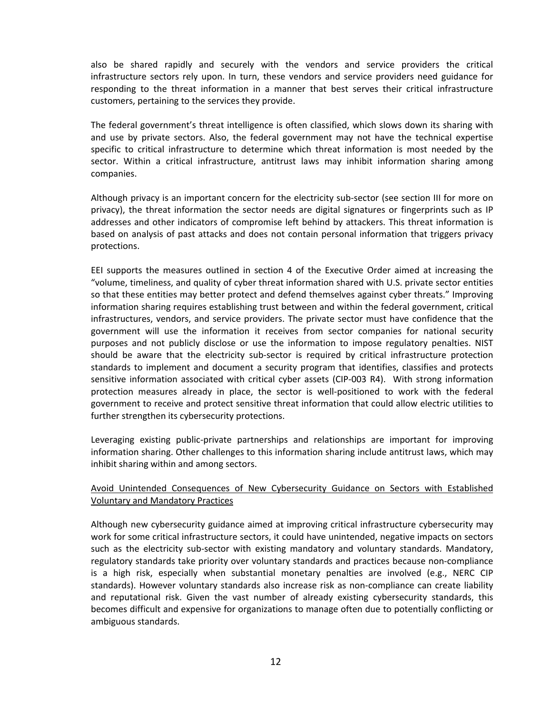also be shared rapidly and securely with the vendors and service providers the critical infrastructure sectors rely upon. In turn, these vendors and service providers need guidance for responding to the threat information in a manner that best serves their critical infrastructure customers, pertaining to the services they provide.

 The federal government's threat intelligence is often classified, which slows down its sharing with and use by private sectors. Also, the federal government may not have the technical expertise specific to critical infrastructure to determine which threat information is most needed by the sector. Within a critical infrastructure, antitrust laws may inhibit information sharing among companies.

 Although privacy is an important concern for the electricity sub‐sector (see section III for more on privacy), the threat information the sector needs are digital signatures or fingerprints such as IP addresses and other indicators of compromise left behind by attackers. This threat information is based on analysis of past attacks and does not contain personal information that triggers privacy protections.

 EEI supports the measures outlined in section 4 of the Executive Order aimed at increasing the "volume, timeliness, and quality of cyber threat information shared with U.S. private sector entities so that these entities may better protect and defend themselves against cyber threats." Improving information sharing requires establishing trust between and within the federal government, critical infrastructures, vendors, and service providers. The private sector must have confidence that the government will use the information it receives from sector companies for national security purposes and not publicly disclose or use the information to impose regulatory penalties. NIST should be aware that the electricity sub‐sector is required by critical infrastructure protection standards to implement and document a security program that identifies, classifies and protects sensitive information associated with critical cyber assets (CIP‐003 R4). With strong information protection measures already in place, the sector is well‐positioned to work with the federal government to receive and protect sensitive threat information that could allow electric utilities to further strengthen its cybersecurity protections.

Leveraging existing public-private partnerships and relationships are important for improving information sharing. Other challenges to this information sharing include antitrust laws, which may inhibit sharing within and among sectors.

# Avoid Unintended Consequences of New Cybersecurity Guidance on Sectors with Established Voluntary and Mandatory Practices

 Although new cybersecurity guidance aimed at improving critical infrastructure cybersecurity may work for some critical infrastructure sectors, it could have unintended, negative impacts on sectors such as the electricity sub-sector with existing mandatory and voluntary standards. Mandatory, regulatory standards take priority over voluntary standards and practices because non‐compliance is a high risk, especially when substantial monetary penalties are involved (e.g., NERC CIP standards). However voluntary standards also increase risk as non‐compliance can create liability and reputational risk. Given the vast number of already existing cybersecurity standards, this becomes difficult and expensive for organizations to manage often due to potentially conflicting or ambiguous standards.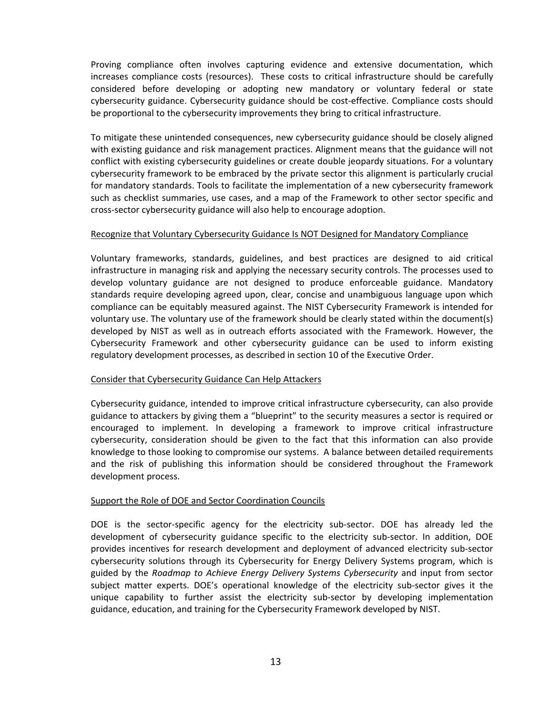Proving compliance often involves capturing evidence and extensive documentation, which increases compliance costs (resources). These costs to critical infrastructure should be carefully considered before developing or adopting new mandatory or voluntary federal or state cybersecurity guidance. Cybersecurity guidance should be cost‐effective. Compliance costs should be proportional to the cybersecurity improvements they bring to critical infrastructure.

 To mitigate these unintended consequences, new cybersecurity guidance should be closely aligned with existing guidance and risk management practices. Alignment means that the guidance will not conflict with existing cybersecurity guidelines or create double jeopardy situations. For a voluntary cybersecurity framework to be embraced by the private sector this alignment is particularly crucial for mandatory standards. Tools to facilitate the implementation of a new cybersecurity framework such as checklist summaries, use cases, and a map of the Framework to other sector specific and cross‐sector cybersecurity guidance will also help to encourage adoption.

#### Recognize that Voluntary Cybersecurity Guidance Is NOT Designed for Mandatory Compliance

 Voluntary frameworks, standards, guidelines, and best practices are designed to aid critical infrastructure in managing risk and applying the necessary security controls. The processes used to develop voluntary guidance are not designed to produce enforceable guidance. Mandatory standards require developing agreed upon, clear, concise and unambiguous language upon which compliance can be equitably measured against. The NIST Cybersecurity Framework is intended for voluntary use. The voluntary use of the framework should be clearly stated within the document(s) developed by NIST as well as in outreach efforts associated with the Framework. However, the Cybersecurity Framework and other cybersecurity guidance can be used to inform existing regulatory development processes, as described in section 10 of the Executive Order.

#### Consider that Cybersecurity Guidance Can Help Attackers

 Cybersecurity guidance, intended to improve critical infrastructure cybersecurity, can also provide guidance to attackers by giving them a "blueprint" to the security measures a sector is required or encouraged to implement. In developing a framework to improve critical infrastructure cybersecurity, consideration should be given to the fact that this information can also provide knowledge to those looking to compromise our systems. A balance between detailed requirements and the risk of publishing this information should be considered throughout the Framework development process.

#### Support the Role of DOE and Sector Coordination Councils

DOE is the sector-specific agency for the electricity sub-sector. DOE has already led the development of cybersecurity guidance specific to the electricity sub‐sector. In addition, DOE provides incentives for research development and deployment of advanced electricity sub‐sector cybersecurity solutions through its Cybersecurity for Energy Delivery Systems program, which is  guided by the *Roadmap to Achieve Energy Delivery Systems Cybersecurity* and input from sector subject matter experts. DOE's operational knowledge of the electricity sub-sector gives it the unique capability to further assist the electricity sub‐sector by developing implementation guidance, education, and training for the Cybersecurity Framework developed by NIST.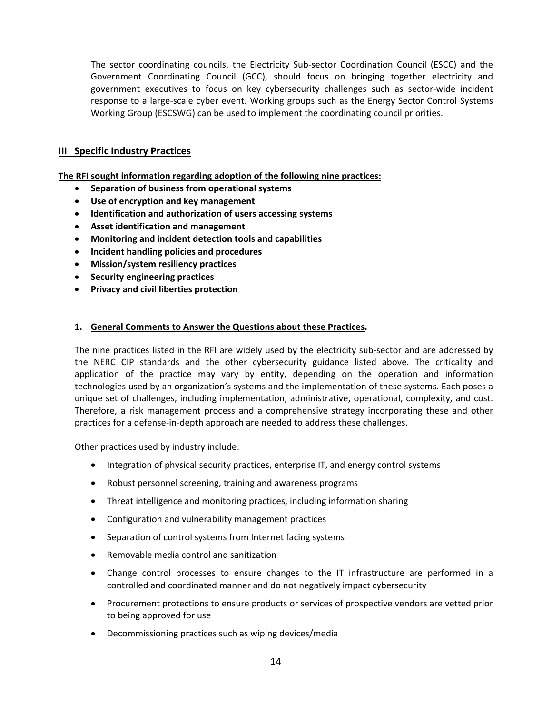The sector coordinating councils, the Electricity Sub‐sector Coordination Council (ESCC) and the Government Coordinating Council (GCC), should focus on bringing together electricity and government executives to focus on key cybersecurity challenges such as sector‐wide incident response to a large‐scale cyber event. Working groups such as the Energy Sector Control Systems Working Group (ESCSWG) can be used to implement the coordinating council priorities.

# **III Specific Industry Practices**

 **The RFI sought information regarding adoption of the following nine practices:**

- **Separation of business from operational systems**
- **Use of encryption and key management**
- **Identification and authorization of users accessing systems**
- **Asset identification and management**
- **Monitoring and incident detection tools and capabilities**
- **Incident handling policies and procedures**
- **Mission/system resiliency practices**
- **Security engineering practices**
- **Privacy and civil liberties protection**

## **1. General Comments to Answer the Questions about these Practices.**

 The nine practices listed in the RFI are widely used by the electricity sub‐sector and are addressed by the NERC CIP standards and the other cybersecurity guidance listed above. The criticality and application of the practice may vary by entity, depending on the operation and information technologies used by an organization's systems and the implementation of these systems. Each poses a unique set of challenges, including implementation, administrative, operational, complexity, and cost. Therefore, a risk management process and a comprehensive strategy incorporating these and other practices for a defense‐in‐depth approach are needed to address these challenges.

Other practices used by industry include:

- Integration of physical security practices, enterprise IT, and energy control systems
- Robust personnel screening, training and awareness programs
- Threat intelligence and monitoring practices, including information sharing
- Configuration and vulnerability management practices
- Separation of control systems from Internet facing systems
- Removable media control and sanitization
- Change control processes to ensure changes to the IT infrastructure are performed in a controlled and coordinated manner and do not negatively impact cybersecurity
- Procurement protections to ensure products or services of prospective vendors are vetted prior to being approved for use
- Decommissioning practices such as wiping devices/media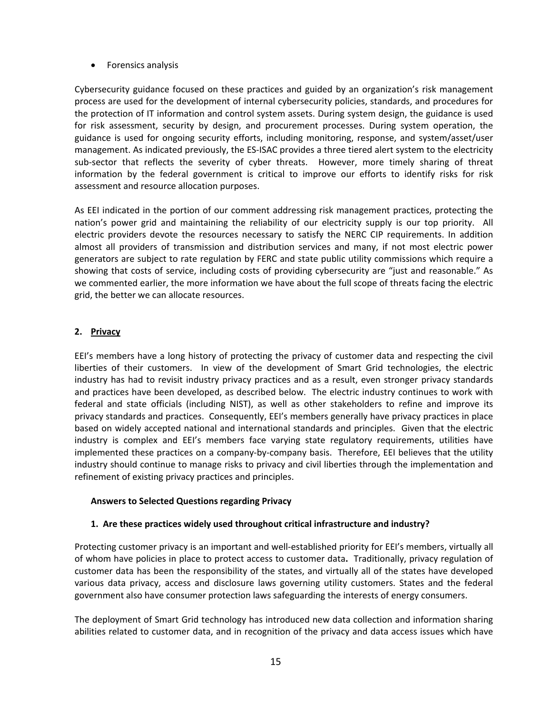**•** Forensics analysis

 Cybersecurity guidance focused on these practices and guided by an organization's risk management process are used for the development of internal cybersecurity policies, standards, and procedures for the protection of IT information and control system assets. During system design, the guidance is used for risk assessment, security by design, and procurement processes. During system operation, the guidance is used for ongoing security efforts, including monitoring, response, and system/asset/user management. As indicated previously, the ES‐ISAC provides a three tiered alert system to the electricity sub-sector that reflects the severity of cyber threats. However, more timely sharing of threat information by the federal government is critical to improve our efforts to identify risks for risk assessment and resource allocation purposes.

 As EEI indicated in the portion of our comment addressing risk management practices, protecting the nation's power grid and maintaining the reliability of our electricity supply is our top priority. All electric providers devote the resources necessary to satisfy the NERC CIP requirements. In addition almost all providers of transmission and distribution services and many, if not most electric power generators are subject to rate regulation by FERC and state public utility commissions which require a showing that costs of service, including costs of providing cybersecurity are "just and reasonable." As we commented earlier, the more information we have about the full scope of threats facing the electric grid, the better we can allocate resources.

# **2. Privacy**

 EEI's members have a long history of protecting the privacy of customer data and respecting the civil liberties of their customers. In view of the development of Smart Grid technologies, the electric industry has had to revisit industry privacy practices and as a result, even stronger privacy standards and practices have been developed, as described below. The electric industry continues to work with federal and state officials (including NIST), as well as other stakeholders to refine and improve its privacy standards and practices. Consequently, EEI's members generally have privacy practices in place based on widely accepted national and international standards and principles. Given that the electric industry is complex and EEI's members face varying state regulatory requirements, utilities have implemented these practices on a company‐by‐company basis. Therefore, EEI believes that the utility industry should continue to manage risks to privacy and civil liberties through the implementation and refinement of existing privacy practices and principles.

#### **Answers to Selected Questions regarding Privacy**

#### **1. Are these practices widely used throughout critical infrastructure and industry?**

 Protecting customer privacy is an important and well‐established priority for EEI's members, virtually all of whom have policies in place to protect access to customer data. Traditionally, privacy regulation of customer data has been the responsibility of the states, and virtually all of the states have developed various data privacy, access and disclosure laws governing utility customers. States and the federal government also have consumer protection laws safeguarding the interests of energy consumers.

 The deployment of Smart Grid technology has introduced new data collection and information sharing abilities related to customer data, and in recognition of the privacy and data access issues which have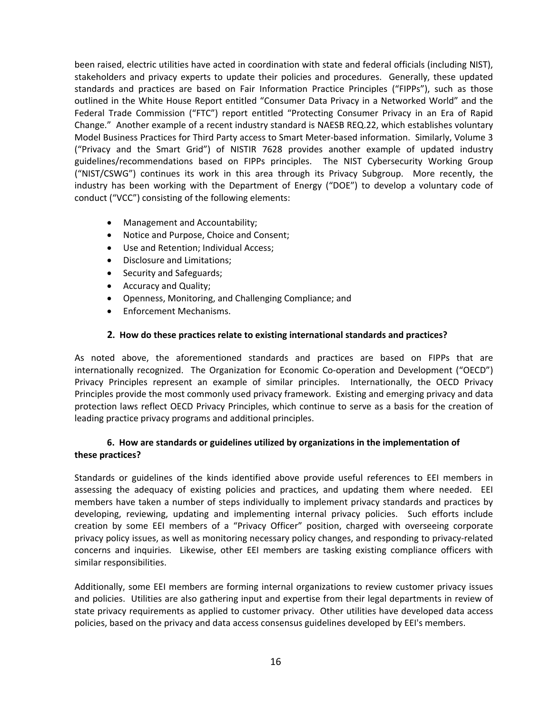been raised, electric utilities have acted in coordination with state and federal officials (including NIST), stakeholders and privacy experts to update their policies and procedures. Generally, these updated standards and practices are based on Fair Information Practice Principles ("FIPPs"), such as those outlined in the White House Report entitled "Consumer Data Privacy in a Networked World" and the Federal Trade Commission ("FTC") report entitled "Protecting Consumer Privacy in an Era of Rapid Change." Another example of a recent industry standard is NAESB REQ.22, which establishes voluntary Model Business Practices for Third Party access to Smart Meter‐based information. Similarly, Volume 3 ("Privacy and the Smart Grid") of NISTIR 7628 provides another example of updated industry guidelines/recommendations based on FIPPs principles. The NIST Cybersecurity Working Group ("NIST/CSWG") continues its work in this area through its Privacy Subgroup. More recently, the industry has been working with the Department of Energy ("DOE") to develop a voluntary code of conduct ("VCC") consisting of the following elements:

- Management and Accountability;
- Notice and Purpose, Choice and Consent;
- Use and Retention; Individual Access;
- Disclosure and Limitations;
- Security and Safeguards;
- **•** Accuracy and Quality;
- Openness, Monitoring, and Challenging Compliance; and
- **•** Enforcement Mechanisms.

## **2. How do these practices relate to existing international standards and practices?**

 As noted above, the aforementioned standards and practices are based on FIPPs that are internationally recognized. The Organization for Economic Co-operation and Development ("OECD") Privacy Principles represent an example of similar principles. Internationally, the OECD Privacy Principles provide the most commonly used privacy framework. Existing and emerging privacy and data protection laws reflect OECD Privacy Principles, which continue to serve as a basis for the creation of leading practice privacy programs and additional principles.

# 6. How are standards or guidelines utilized by organizations in the implementation of  **these practices?**

 Standards or guidelines of the kinds identified above provide useful references to EEI members in assessing the adequacy of existing policies and practices, and updating them where needed. EEI members have taken a number of steps individually to implement privacy standards and practices by developing, reviewing, updating and implementing internal privacy policies. Such efforts include creation by some EEI members of a "Privacy Officer" position, charged with overseeing corporate privacy policy issues, as well as monitoring necessary policy changes, and responding to privacy‐related concerns and inquiries. Likewise, other EEI members are tasking existing compliance officers with similar responsibilities.

 Additionally, some EEI members are forming internal organizations to review customer privacy issues and policies. Utilities are also gathering input and expertise from their legal departments in review of state privacy requirements as applied to customer privacy. Other utilities have developed data access policies, based on the privacy and data access consensus guidelines developed by EEI's members.